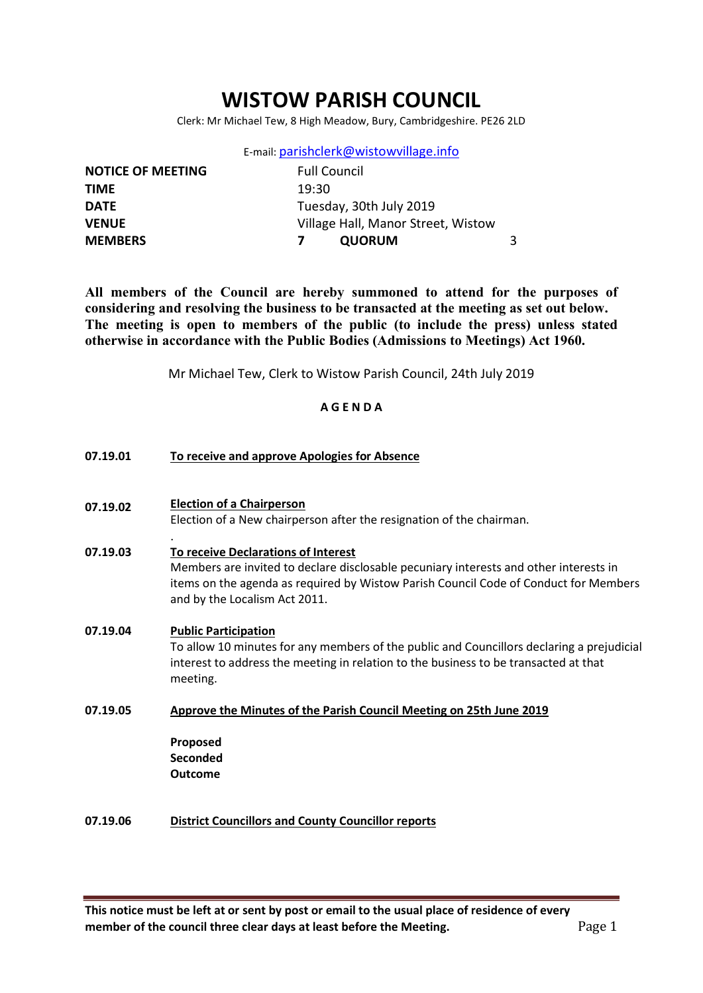# WISTOW PARISH COUNCIL

Clerk: Mr Michael Tew, 8 High Meadow, Bury, Cambridgeshire. PE26 2LD

E-mail: parishclerk@wistowvillage.info

| <b>NOTICE OF MEETING</b> | <b>Full Council</b>                |  |
|--------------------------|------------------------------------|--|
| <b>TIME</b>              | 19:30                              |  |
| <b>DATE</b>              | Tuesday, 30th July 2019            |  |
| <b>VENUE</b>             | Village Hall, Manor Street, Wistow |  |
| <b>MEMBERS</b>           | <b>QUORUM</b>                      |  |
|                          |                                    |  |

All members of the Council are hereby summoned to attend for the purposes of considering and resolving the business to be transacted at the meeting as set out below. The meeting is open to members of the public (to include the press) unless stated otherwise in accordance with the Public Bodies (Admissions to Meetings) Act 1960.

Mr Michael Tew, Clerk to Wistow Parish Council, 24th July 2019

### A G E N D A

| 07.19.01 | To receive and approve Apologies for Absence                                                                                                                                                                                                          |
|----------|-------------------------------------------------------------------------------------------------------------------------------------------------------------------------------------------------------------------------------------------------------|
| 07.19.02 | <b>Election of a Chairperson</b><br>Election of a New chairperson after the resignation of the chairman.                                                                                                                                              |
| 07.19.03 | To receive Declarations of Interest<br>Members are invited to declare disclosable pecuniary interests and other interests in<br>items on the agenda as required by Wistow Parish Council Code of Conduct for Members<br>and by the Localism Act 2011. |
| 07.19.04 | <b>Public Participation</b><br>To allow 10 minutes for any members of the public and Councillors declaring a prejudicial<br>interest to address the meeting in relation to the business to be transacted at that<br>meeting.                          |
| 07.19.05 | Approve the Minutes of the Parish Council Meeting on 25th June 2019                                                                                                                                                                                   |
|          | Proposed<br>Seconded<br><b>Outcome</b>                                                                                                                                                                                                                |
| 07.19.06 | <b>District Councillors and County Councillor reports</b>                                                                                                                                                                                             |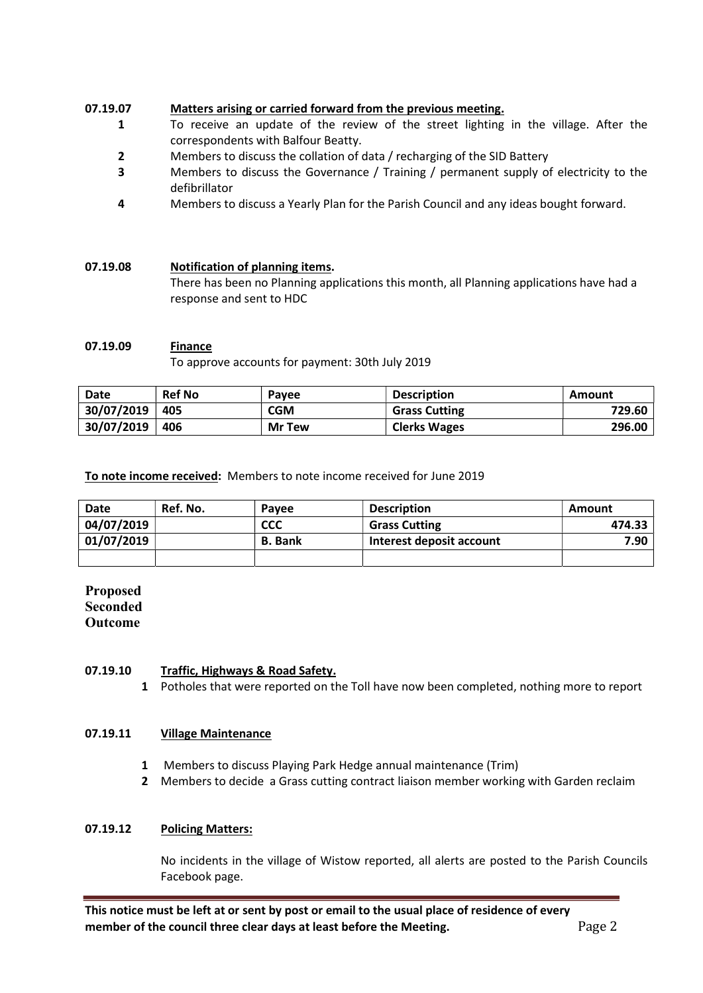### 07.19.07 Matters arising or carried forward from the previous meeting.

- 1 To receive an update of the review of the street lighting in the village. After the correspondents with Balfour Beatty.
- 2 Members to discuss the collation of data / recharging of the SID Battery
- 3 Members to discuss the Governance / Training / permanent supply of electricity to the defibrillator
- 4 Members to discuss a Yearly Plan for the Parish Council and any ideas bought forward.

### 07.19.08 Notification of planning items.

There has been no Planning applications this month, all Planning applications have had a response and sent to HDC

### 07.19.09 Finance

To approve accounts for payment: 30th July 2019

| Date       | <b>Ref No</b> | Pavee         | <b>Description</b>   | Amount |
|------------|---------------|---------------|----------------------|--------|
| 30/07/2019 | 405           | <b>CGM</b>    | <b>Grass Cutting</b> | 729.60 |
| 30/07/2019 | 406           | <b>Mr</b> Tew | <b>Clerks Wages</b>  | 296.00 |

To note income received: Members to note income received for June 2019

| <b>Date</b> | Ref. No. | Pavee          | <b>Description</b>       | Amount |
|-------------|----------|----------------|--------------------------|--------|
| 04/07/2019  |          | <b>CCC</b>     | <b>Grass Cutting</b>     | 474.33 |
| 01/07/2019  |          | <b>B.</b> Bank | Interest deposit account | 7.90   |
|             |          |                |                          |        |

Proposed **Seconded** Outcome

#### 07.19.10 Traffic, Highways & Road Safety.

1 Potholes that were reported on the Toll have now been completed, nothing more to report

#### 07.19.11 Village Maintenance

- 1 Members to discuss Playing Park Hedge annual maintenance (Trim)
- 2 Members to decide a Grass cutting contract liaison member working with Garden reclaim

### 07.19.12 Policing Matters:

No incidents in the village of Wistow reported, all alerts are posted to the Parish Councils Facebook page.